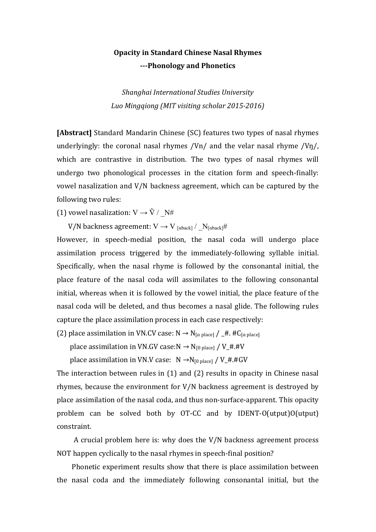## **Opacity in Standard Chinese Nasal Rhymes ---Phonology and Phonetics**

*Shanghai International Studies University* Luo Mingqiong (MIT visiting scholar 2015-2016)

**[Abstract]** Standard Mandarin Chinese (SC) features two types of nasal rhymes underlyingly: the coronal nasal rhymes /Vn/ and the velar nasal rhyme /Vn/, which are contrastive in distribution. The two types of nasal rhymes will undergo two phonological processes in the citation form and speech-finally: vowel nasalization and  $V/N$  backness agreement, which can be captured by the following two rules:

(1) vowel nasalization:  $V \rightarrow \tilde{V}$  /  $N#$ 

V/N backness agreement:  $V \rightarrow V_{\text{[aback]}} / N_{\text{[aback]}} \#$ 

However, in speech-medial position, the nasal coda will undergo place assimilation process triggered by the immediately-following syllable initial. Specifically, when the nasal rhyme is followed by the consonantal initial, the place feature of the nasal coda will assimilates to the following consonantal initial, whereas when it is followed by the vowel initial, the place feature of the nasal coda will be deleted, and thus becomes a nasal glide. The following rules capture the place assimilation process in each case respectively:

(2) place assimilation in VN.CV case:  $N \rightarrow N_{\lceil \alpha \text{ place} \rceil} / \sqrt{4}$ . #C<sub>[ $\alpha$  place]</sub>

place assimilation in VN.GV case:N  $\rightarrow$  N<sub>[0 place]</sub> / V\_#.#V

place assimilation in VN.V case:  $N \rightarrow N_{[0 \text{ place}]} / V_{+}$ #.#GV

The interaction between rules in  $(1)$  and  $(2)$  results in opacity in Chinese nasal rhymes, because the environment for  $V/N$  backness agreement is destroyed by place assimilation of the nasal coda, and thus non-surface-apparent. This opacity problem can be solved both by OT-CC and by IDENT-O(utput)O(utput) constraint.

A crucial problem here is: why does the  $V/N$  backness agreement process NOT happen cyclically to the nasal rhymes in speech-final position?

Phonetic experiment results show that there is place assimilation between the nasal coda and the immediately following consonantal initial, but the